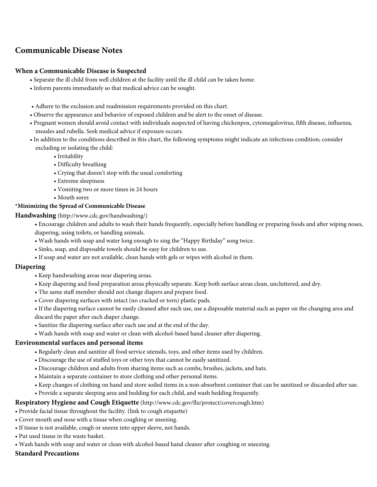# **Communicable Disease Notes**

## **When a Communicable Disease is Suspected**

- Separate the ill child from well children at the facility until the ill child can be taken home.
- Inform parents immediately so that medical advice can be sought.
- Adhere to the exclusion and readmission requirements provided on this chart.
- Observe the appearance and behavior of exposed children and be alert to the onset of disease.
- Pregnant women should avoid contact with individuals suspected of having chickenpox, cytomegalovirus, fifth disease, influenza, measles and rubella. Seek medical advice if exposure occurs.
- In addition to the conditions described in this chart, the following symptoms might indicate an infectious condition; consider excluding or isolating the child:
	- Irritability
	- Difficulty breathing
	- Crying that doesn't stop with the usual comforting
	- Extreme sleepiness
	- Vomiting two or more times in 24 hours
	- Mouth sores

#### **\*Minimizing the Spread of Communicable Disease**

**Handwashing** (http://www.cdc.gov/handwashing/)

- Encourage children and adults to wash their hands frequently, especially before handling or preparing foods and after wiping noses, diapering, using toilets, or handling animals.
- Wash hands with soap and water long enough to sing the "Happy Birthday" song twice.
- Sinks, soap, and disposable towels should be easy for children to use.
- If soap and water are not available, clean hands with gels or wipes with alcohol in them.

### **Diapering**

- Keep handwashing areas near diapering areas.
- Keep diapering and food preparation areas physically separate. Keep both surface areas clean, uncluttered, and dry.
- The same staff member should not change diapers and prepare food.
- Cover diapering surfaces with intact (no cracked or torn) plastic pads.
- If the diapering surface cannot be easily cleaned after each use, use a disposable material such as paper on the changing area and discard the paper after each diaper change.
- Sanitize the diapering surface after each use and at the end of the day.
- Wash hands with soap and water or clean with alcohol-based hand cleaner after diapering.

### **Environmental surfaces and personal items**

- Regularly clean and sanitize all food service utensils, toys, and other items used by children.
- Discourage the use of stuffed toys or other toys that cannot be easily sanitized.
- Discourage children and adults from sharing items such as combs, brushes, jackets, and hats.
- Maintain a separate container to store clothing and other personal items.
- Keep changes of clothing on hand and store soiled items in a non-absorbent container that can be sanitized or discarded after use.
- Provide a separate sleeping area and bedding for each child, and wash bedding frequently.

### **Respiratory Hygiene and Cough Etiquette** (http://www.cdc.gov/flu/protect/covercough.htm)

- Provide facial tissue throughout the facility. (link to cough etiquette)
- Cover mouth and nose with a tissue when coughing or sneezing.
- If tissue is not available, cough or sneeze into upper sleeve, not hands.
- Put used tissue in the waste basket.
- Wash hands with soap and water or clean with alcohol-based hand cleaner after coughing or sneezing.

### **Standard Precautions**